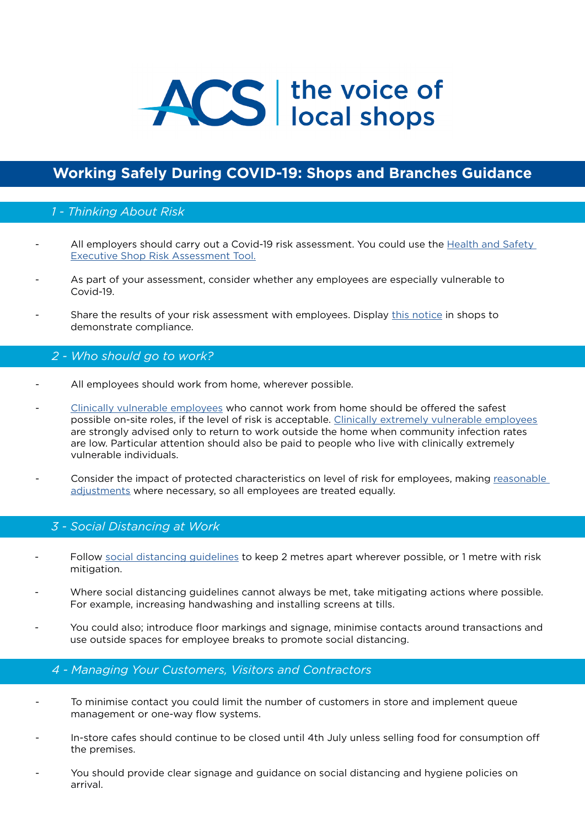

# **[Working Safely During COVID-19: Shops and Branches Guidance](https://assets.publishing.service.gov.uk/media/5eb9703de90e07082fa57ce0/working-safely-during-covid-19-shops-branches-110520.pdf)**

## *1 - Thinking About Risk*

- All employers should carry out a Covid-19 risk assessment. You could use the Health and Safety [Executive Shop Risk Assessment Tool.](https://www.hse.gov.uk/risk/shop.htm)
- As part of your assessment, consider whether any employees are especially vulnerable to Covid-19.
- Share the results of your risk assessment with employees. Display [this notice](https://assets.publishing.service.gov.uk/media/5eb97021d3bf7f5d43765cbf/staying-covid-19-secure.pdf) in shops to demonstrate compliance.

## *2 - Who should go to work?*

- All employees should work from home, wherever possible.
- [Clinically vulnerable employees](https://www.gov.uk/government/publications/staying-alert-and-safe-social-distancing/staying-alert-and-safe-social-distancing#clinically-vulnerable-people) who cannot work from home should be offered the safest possible on-site roles, if the level of risk is acceptable. [Clinically extremely vulnerable employees](https://www.gov.uk/government/publications/guidance-on-shielding-and-protecting-extremely-vulnerable-persons-from-covid-19/guidance-on-shielding-and-protecting-extremely-vulnerable-persons-from-covid-19#who-is-clinically-extremely-vulnerable) are strongly advised only to return to work outside the home when community infection rates are low. Particular attention should also be paid to people who live with clinically extremely vulnerable individuals.
- Consider the impact of protected characteristics on level of risk for employees, making [reasonable](https://www.gov.uk/reasonable-adjustments-for-disabled-workers)  [adjustments](https://www.gov.uk/reasonable-adjustments-for-disabled-workers) where necessary, so all employees are treated equally.

#### *3 - Social Distancing at Work*

- Follow [social distancing guidelines](https://www.gov.uk/government/publications/covid-19-guidance-for-food-businesses/guidance-for-food-businesses-on-coronavirus-covid-19#social-distancing) to keep 2 metres apart wherever possible, or 1 metre with risk mitigation.
- Where social distancing guidelines cannot always be met, take mitigating actions where possible. For example, increasing handwashing and installing screens at tills.
- You could also; introduce floor markings and signage, minimise contacts around transactions and use outside spaces for employee breaks to promote social distancing.

#### *4 - Managing Your Customers, Visitors and Contractors*

- To minimise contact you could limit the number of customers in store and implement queue management or one-way flow systems.
- In-store cafes should continue to be closed until 4th July unless selling food for consumption off the premises.
- You should provide clear signage and guidance on social distancing and hygiene policies on arrival.